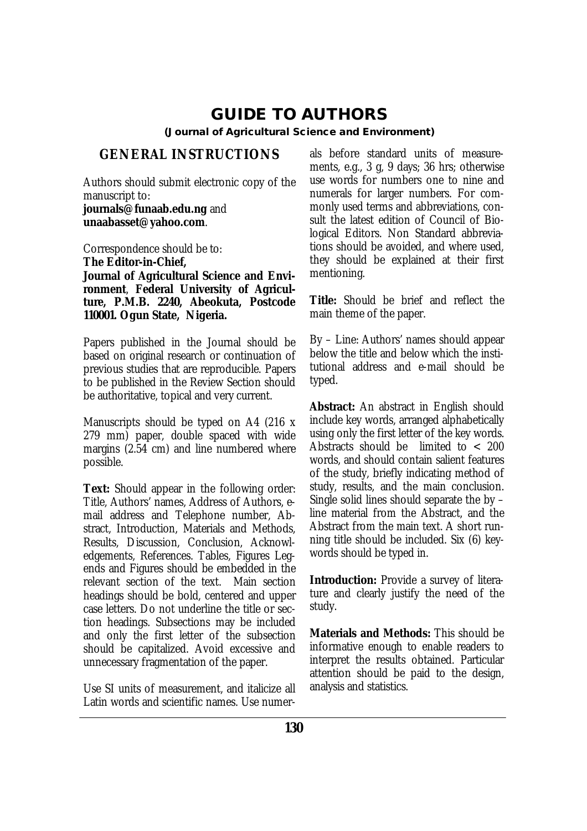# **GUIDE TO AUTHORS**

**(Journal of Agricultural Science and Environment)**

# **GENERAL INSTRUCTIONS**

Authors should submit electronic copy of the manuscript to:

**journals@funaab.edu.ng** and **unaabasset@yahoo.com**.

Correspondence should be to: **The Editor-in-Chief, Journal of Agricultural Science and Environment**, **Federal University of Agriculture, P.M.B. 2240, Abeokuta, Postcode 110001. Ogun State, Nigeria.**

Papers published in the Journal should be based on original research or continuation of previous studies that are reproducible. Papers to be published in the Review Section should be authoritative, topical and very current.

Manuscripts should be typed on A4 (216 x 279 mm) paper, double spaced with wide margins (2.54 cm) and line numbered where possible.

**Text:** Should appear in the following order: Title, Authors' names, Address of Authors, email address and Telephone number, Abstract, Introduction, Materials and Methods, Results, Discussion, Conclusion, Acknowledgements, References. Tables, Figures Legends and Figures should be embedded in the relevant section of the text. Main section headings should be bold, centered and upper case letters. Do not underline the title or section headings. Subsections may be included and only the first letter of the subsection should be capitalized. Avoid excessive and unnecessary fragmentation of the paper.

Use SI units of measurement, and italicize all Latin words and scientific names. Use numerals before standard units of measurements, e.g., 3 g, 9 days; 36 hrs; otherwise use words for numbers one to nine and numerals for larger numbers. For commonly used terms and abbreviations, consult the latest edition of Council of Biological Editors. Non Standard abbreviations should be avoided, and where used, they should be explained at their first mentioning.

**Title:** Should be brief and reflect the main theme of the paper.

By – Line: Authors' names should appear below the title and below which the institutional address and e-mail should be typed.

**Abstract:** An abstract in English should include key words, arranged alphabetically using only the first letter of the key words. Abstracts should be limited to < 200 words, and should contain salient features of the study, briefly indicating method of study, results, and the main conclusion. Single solid lines should separate the by – line material from the Abstract, and the Abstract from the main text. A short running title should be included. Six (6) keywords should be typed in.

**Introduction:** Provide a survey of literature and clearly justify the need of the study.

**Materials and Methods:** This should be informative enough to enable readers to interpret the results obtained. Particular attention should be paid to the design, analysis and statistics.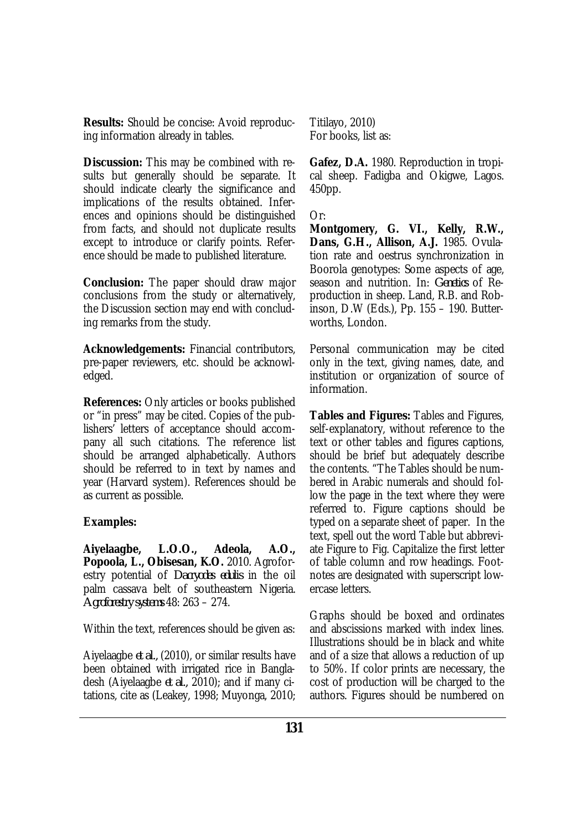**Results:** Should be concise: Avoid reproducing information already in tables.

**Discussion:** This may be combined with results but generally should be separate. It should indicate clearly the significance and implications of the results obtained. Inferences and opinions should be distinguished from facts, and should not duplicate results except to introduce or clarify points. Reference should be made to published literature.

**Conclusion:** The paper should draw major conclusions from the study or alternatively, the Discussion section may end with concluding remarks from the study.

**Acknowledgements:** Financial contributors, pre-paper reviewers, etc. should be acknowledged.

**References:** Only articles or books published or "in press" may be cited. Copies of the publishers' letters of acceptance should accompany all such citations. The reference list should be arranged alphabetically. Authors should be referred to in text by names and year (Harvard system). References should be as current as possible.

## **Examples:**

**Aiyelaagbe, L.O.O., Adeola, A.O., Popoola, L., Obisesan, K.O.** 2010. Agroforestry potential of *Dacryodes edulis* in the oil palm cassava belt of southeastern Nigeria. *Agroforestry systems* 48: 263 – 274.

Within the text, references should be given as:

Aiyelaagbe *et al.,* (2010), or similar results have been obtained with irrigated rice in Bangladesh (Aiyelaagbe *et al.,* 2010); and if many citations, cite as (Leakey, 1998; Muyonga, 2010; Titilayo, 2010) For books, list as:

**Gafez, D.A.** 1980. Reproduction in tropical sheep. Fadigba and Okigwe, Lagos. 450pp.

Or:

**Montgomery, G. VI., Kelly, R.W., Dans, G.H., Allison, A.J.** 1985. Ovulation rate and oestrus synchronization in Boorola genotypes: Some aspects of age, season and nutrition. In: *Genetics* of Reproduction in sheep. Land, R.B. and Robinson, D.W (Eds.), Pp. 155 – 190. Butterworths, London.

Personal communication may be cited only in the text, giving names, date, and institution or organization of source of information.

**Tables and Figures:** Tables and Figures, self-explanatory, without reference to the text or other tables and figures captions, should be brief but adequately describe the contents. "The Tables should be numbered in Arabic numerals and should follow the page in the text where they were referred to. Figure captions should be typed on a separate sheet of paper. In the text, spell out the word Table but abbreviate Figure to Fig. Capitalize the first letter of table column and row headings. Footnotes are designated with superscript lowercase letters.

Graphs should be boxed and ordinates and abscissions marked with index lines. Illustrations should be in black and white and of a size that allows a reduction of up to 50%. If color prints are necessary, the cost of production will be charged to the authors. Figures should be numbered on